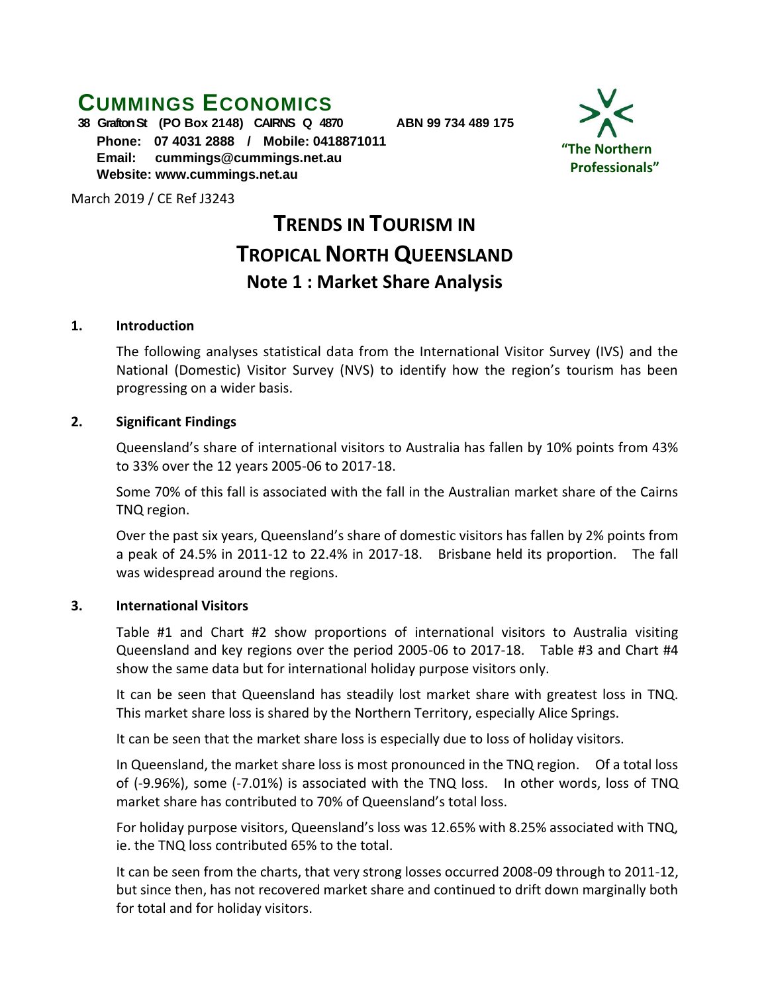## **CUMMINGS ECONOMICS**

**38 Grafton St (PO Box 2148) CAIRNS Q 4870 ABN 99 734 489 175 Phone: 07 4031 2888 / Mobile: 0418871011 Email: [cummings@cummings.net.au](mailto:cummings@cummings.net.au) Website: www.cummings.net.au**

March 2019 / CE Ref J3243

# **TRENDS IN TOURISM IN TROPICAL NORTH QUEENSLAND Note 1 : Market Share Analysis**

#### **1. Introduction**

The following analyses statistical data from the International Visitor Survey (IVS) and the National (Domestic) Visitor Survey (NVS) to identify how the region's tourism has been progressing on a wider basis.

#### **2. Significant Findings**

Queensland's share of international visitors to Australia has fallen by 10% points from 43% to 33% over the 12 years 2005-06 to 2017-18.

Some 70% of this fall is associated with the fall in the Australian market share of the Cairns TNQ region.

Over the past six years, Queensland's share of domestic visitors has fallen by 2% points from a peak of 24.5% in 2011-12 to 22.4% in 2017-18. Brisbane held its proportion. The fall was widespread around the regions.

## **3. International Visitors**

Table #1 and Chart #2 show proportions of international visitors to Australia visiting Queensland and key regions over the period 2005-06 to 2017-18. Table #3 and Chart #4 show the same data but for international holiday purpose visitors only.

It can be seen that Queensland has steadily lost market share with greatest loss in TNQ. This market share loss is shared by the Northern Territory, especially Alice Springs.

It can be seen that the market share loss is especially due to loss of holiday visitors.

In Queensland, the market share loss is most pronounced in the TNQ region. Of a total loss of (-9.96%), some (-7.01%) is associated with the TNQ loss. In other words, loss of TNQ market share has contributed to 70% of Queensland's total loss.

For holiday purpose visitors, Queensland's loss was 12.65% with 8.25% associated with TNQ, ie. the TNQ loss contributed 65% to the total.

It can be seen from the charts, that very strong losses occurred 2008-09 through to 2011-12, but since then, has not recovered market share and continued to drift down marginally both for total and for holiday visitors.

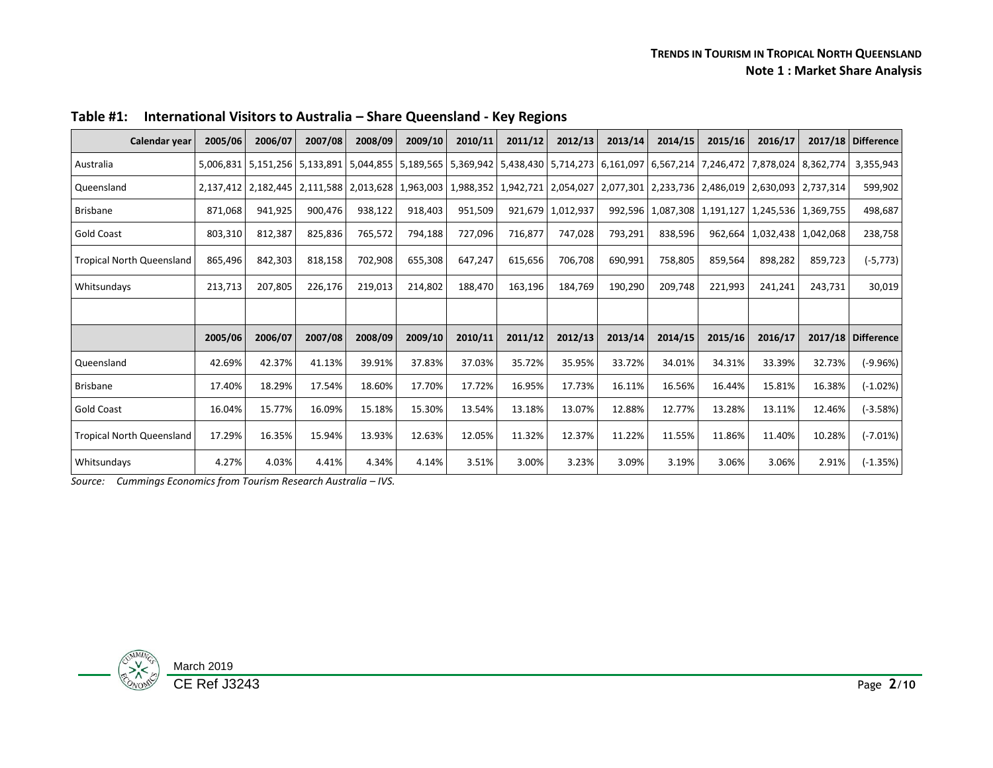| Calendar year                    | 2005/06 | 2006/07             | 2007/08 | 2008/09 | 2009/10 | 2010/11 | 2011/12 | 2012/13                                                                                                                           | 2013/14 | 2014/15 | 2015/16 | 2016/17                                                 |         | 2017/18 Difference   |
|----------------------------------|---------|---------------------|---------|---------|---------|---------|---------|-----------------------------------------------------------------------------------------------------------------------------------|---------|---------|---------|---------------------------------------------------------|---------|----------------------|
| Australia                        |         |                     |         |         |         |         |         | 5,006,831 5,151,256 5,133,891 5,044,855 5,189,565 5,369,942 5,438,430 5,714,273 6,161,097 6,567,214 7,246,472 7,878,024 8,362,774 |         |         |         |                                                         |         | 3,355,943            |
| Queensland                       |         | 2,137,412 2,182,445 |         |         |         |         |         | 2,111,588 2,013,628 1,963,003 1,988,352 2,942,721 2,054,027 2,077,301 2,233,736 2,486,019 2,630,093 2,737,314                     |         |         |         |                                                         |         | 599,902              |
| <b>Brisbane</b>                  | 871,068 | 941,925             | 900,476 | 938,122 | 918,403 | 951,509 |         | 921,679 1,012,937                                                                                                                 |         |         |         | 992,596   1,087,308   1,191,127   1,245,536   1,369,755 |         | 498,687              |
| Gold Coast                       | 803,310 | 812,387             | 825,836 | 765,572 | 794,188 | 727,096 | 716,877 | 747,028                                                                                                                           | 793,291 | 838,596 |         | 962,664   1,032,438   1,042,068                         |         | 238,758              |
| <b>Tropical North Queensland</b> | 865,496 | 842,303             | 818,158 | 702,908 | 655,308 | 647,247 | 615,656 | 706,708                                                                                                                           | 690,991 | 758,805 | 859,564 | 898,282                                                 | 859,723 | (-5,773)             |
| Whitsundays                      | 213,713 | 207,805             | 226,176 | 219,013 | 214,802 | 188,470 | 163,196 | 184,769                                                                                                                           | 190,290 | 209,748 | 221,993 | 241,241                                                 | 243,731 | 30,019               |
|                                  |         |                     |         |         |         |         |         |                                                                                                                                   |         |         |         |                                                         |         |                      |
|                                  | 2005/06 | 2006/07             | 2007/08 | 2008/09 | 2009/10 | 2010/11 | 2011/12 | 2012/13                                                                                                                           | 2013/14 | 2014/15 | 2015/16 | 2016/17                                                 |         | $2017/18$ Difference |
| Queensland                       | 42.69%  | 42.37%              | 41.13%  | 39.91%  | 37.83%  | 37.03%  | 35.72%  | 35.95%                                                                                                                            | 33.72%  | 34.01%  | 34.31%  | 33.39%                                                  | 32.73%  | $(-9.96%)$           |
| Brisbane                         | 17.40%  | 18.29%              | 17.54%  | 18.60%  | 17.70%  | 17.72%  | 16.95%  | 17.73%                                                                                                                            | 16.11%  | 16.56%  | 16.44%  | 15.81%                                                  | 16.38%  | $(-1.02%)$           |
| Gold Coast                       | 16.04%  | 15.77%              | 16.09%  | 15.18%  | 15.30%  | 13.54%  | 13.18%  | 13.07%                                                                                                                            | 12.88%  | 12.77%  | 13.28%  | 13.11%                                                  | 12.46%  | $(-3.58%)$           |
| <b>Tropical North Queensland</b> | 17.29%  | 16.35%              | 15.94%  | 13.93%  | 12.63%  | 12.05%  | 11.32%  | 12.37%                                                                                                                            | 11.22%  | 11.55%  | 11.86%  | 11.40%                                                  | 10.28%  | $(-7.01\%)$          |
| Whitsundays                      | 4.27%   | 4.03%               | 4.41%   | 4.34%   | 4.14%   | 3.51%   | 3.00%   | 3.23%                                                                                                                             | 3.09%   | 3.19%   | 3.06%   | 3.06%                                                   | 2.91%   | $(-1.35%)$           |

**Table #1: International Visitors to Australia – Share Queensland - Key Regions** 

*Source: Cummings Economics from Tourism Research Australia – IVS.*

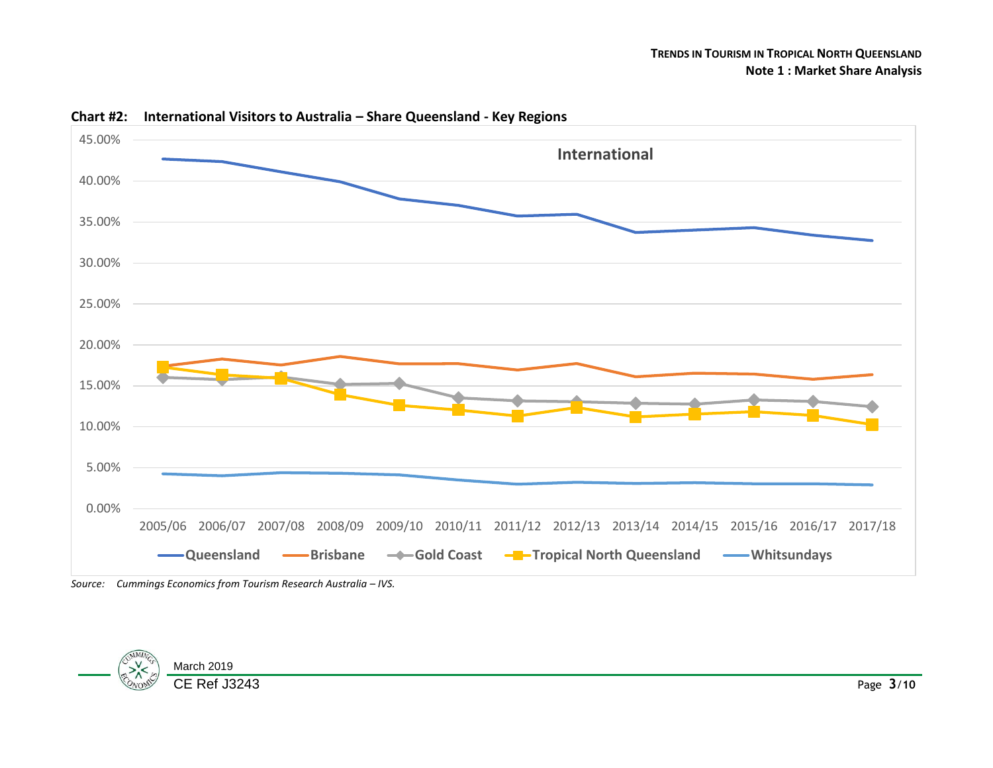

#### **Chart #2: International Visitors to Australia – Share Queensland - Key Regions**

*Source: Cummings Economics from Tourism Research Australia – IVS.*

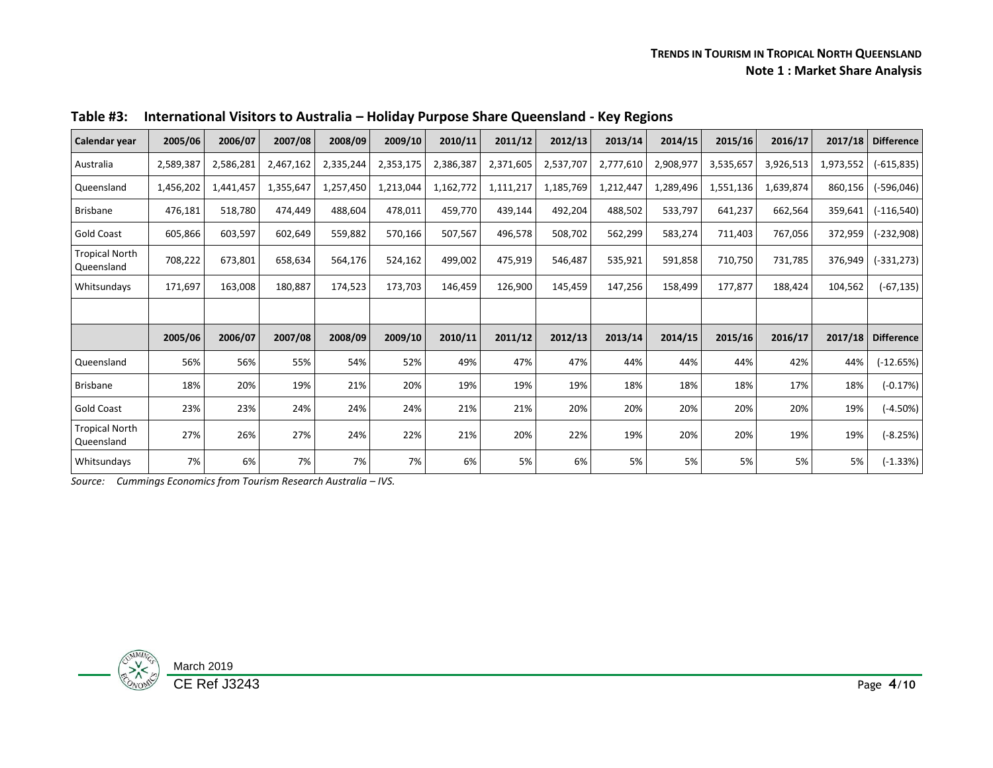#### **TRENDS IN TOURISM IN TROPICAL NORTH QUEENSLAND Note 1 : Market Share Analysis**

| Calendar year                       | 2005/06   | 2006/07   | 2007/08   | 2008/09   | 2009/10   | 2010/11   | 2011/12   | 2012/13   | 2013/14   | 2014/15   | 2015/16   | 2016/17   | 2017/18   | <b>Difference</b> |
|-------------------------------------|-----------|-----------|-----------|-----------|-----------|-----------|-----------|-----------|-----------|-----------|-----------|-----------|-----------|-------------------|
| Australia                           | 2,589,387 | 2,586,281 | 2,467,162 | 2,335,244 | 2,353,175 | 2,386,387 | 2,371,605 | 2,537,707 | 2,777,610 | 2,908,977 | 3,535,657 | 3,926,513 | 1,973,552 | $(-615, 835)$     |
| Queensland                          | 1,456,202 | 1,441,457 | 1,355,647 | 1,257,450 | 1,213,044 | 1,162,772 | 1,111,217 | 1,185,769 | 1,212,447 | 1,289,496 | 1,551,136 | 1,639,874 | 860,156   | $(-596,046)$      |
| <b>Brisbane</b>                     | 476,181   | 518,780   | 474,449   | 488,604   | 478,011   | 459,770   | 439,144   | 492,204   | 488,502   | 533,797   | 641,237   | 662,564   | 359,641   | $(-116, 540)$     |
| <b>Gold Coast</b>                   | 605,866   | 603,597   | 602,649   | 559,882   | 570,166   | 507,567   | 496,578   | 508,702   | 562,299   | 583,274   | 711,403   | 767,056   | 372,959   | (-232,908)        |
| <b>Tropical North</b><br>Queensland | 708,222   | 673,801   | 658,634   | 564,176   | 524,162   | 499,002   | 475,919   | 546,487   | 535,921   | 591,858   | 710,750   | 731,785   | 376,949   | (-331,273)        |
| Whitsundays                         | 171,697   | 163,008   | 180,887   | 174,523   | 173,703   | 146,459   | 126,900   | 145,459   | 147,256   | 158,499   | 177,877   | 188,424   | 104,562   | $(-67, 135)$      |
|                                     |           |           |           |           |           |           |           |           |           |           |           |           |           |                   |
|                                     | 2005/06   | 2006/07   | 2007/08   | 2008/09   | 2009/10   | 2010/11   | 2011/12   | 2012/13   | 2013/14   | 2014/15   | 2015/16   | 2016/17   | 2017/18   | <b>Difference</b> |
| Queensland                          | 56%       | 56%       | 55%       | 54%       | 52%       | 49%       | 47%       | 47%       | 44%       | 44%       | 44%       | 42%       | 44%       | $(-12.65%)$       |
| Brisbane                            | 18%       | 20%       | 19%       | 21%       | 20%       | 19%       | 19%       | 19%       | 18%       | 18%       | 18%       | 17%       | 18%       | $(-0.17%)$        |
| <b>Gold Coast</b>                   | 23%       | 23%       | 24%       | 24%       | 24%       | 21%       | 21%       | 20%       | 20%       | 20%       | 20%       | 20%       | 19%       | $(-4.50%)$        |
| <b>Tropical North</b><br>Queensland | 27%       | 26%       | 27%       | 24%       | 22%       | 21%       | 20%       | 22%       | 19%       | 20%       | 20%       | 19%       | 19%       | $(-8.25%)$        |
| Whitsundays                         | 7%        | 6%        | 7%        | 7%        | 7%        | 6%        | 5%        | 6%        | 5%        | 5%        | 5%        | 5%        | 5%        | $(-1.33%)$        |

**Table #3: International Visitors to Australia – Holiday Purpose Share Queensland - Key Regions** 

*Source: Cummings Economics from Tourism Research Australia – IVS.*

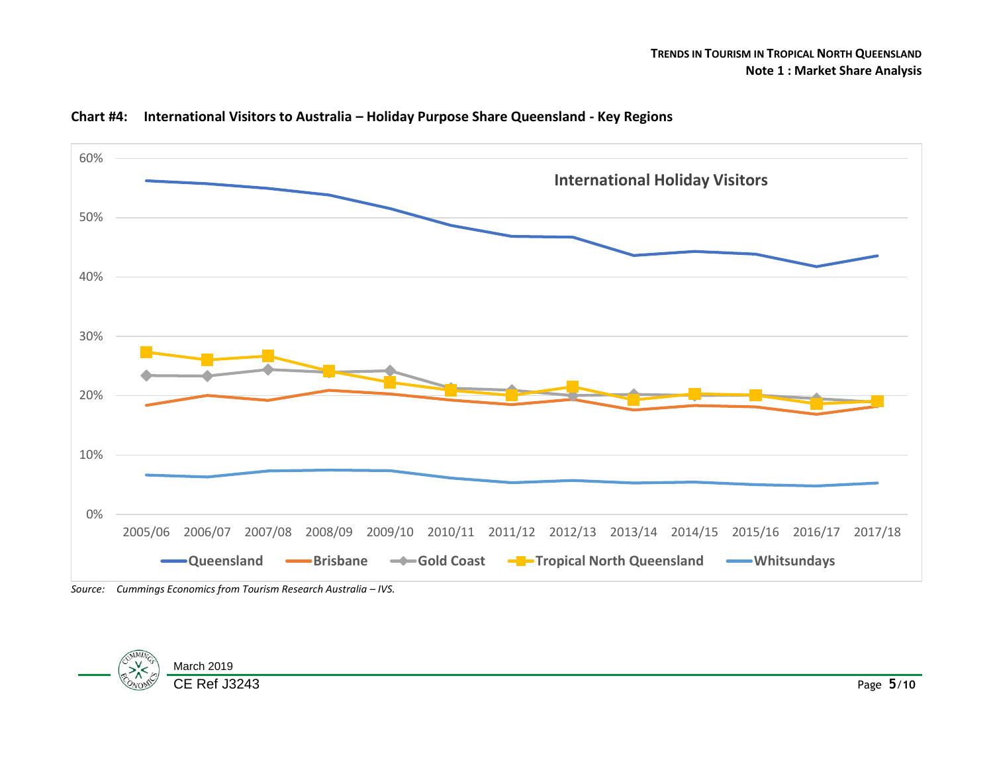





*Source: Cummings Economics from Tourism Research Australia – IVS.*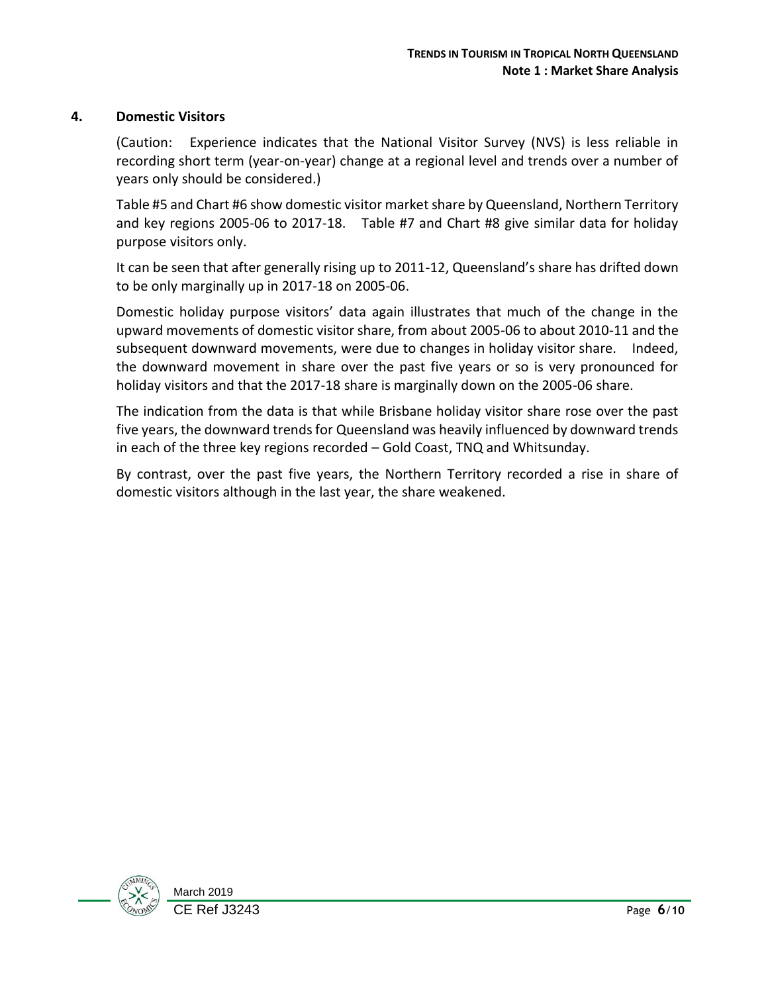## **4. Domestic Visitors**

(Caution: Experience indicates that the National Visitor Survey (NVS) is less reliable in recording short term (year-on-year) change at a regional level and trends over a number of years only should be considered.)

Table #5 and Chart #6 show domestic visitor market share by Queensland, Northern Territory and key regions 2005-06 to 2017-18. Table #7 and Chart #8 give similar data for holiday purpose visitors only.

It can be seen that after generally rising up to 2011-12, Queensland's share has drifted down to be only marginally up in 2017-18 on 2005-06.

Domestic holiday purpose visitors' data again illustrates that much of the change in the upward movements of domestic visitor share, from about 2005-06 to about 2010-11 and the subsequent downward movements, were due to changes in holiday visitor share. Indeed, the downward movement in share over the past five years or so is very pronounced for holiday visitors and that the 2017-18 share is marginally down on the 2005-06 share.

The indication from the data is that while Brisbane holiday visitor share rose over the past five years, the downward trends for Queensland was heavily influenced by downward trends in each of the three key regions recorded – Gold Coast, TNQ and Whitsunday.

By contrast, over the past five years, the Northern Territory recorded a rise in share of domestic visitors although in the last year, the share weakened.

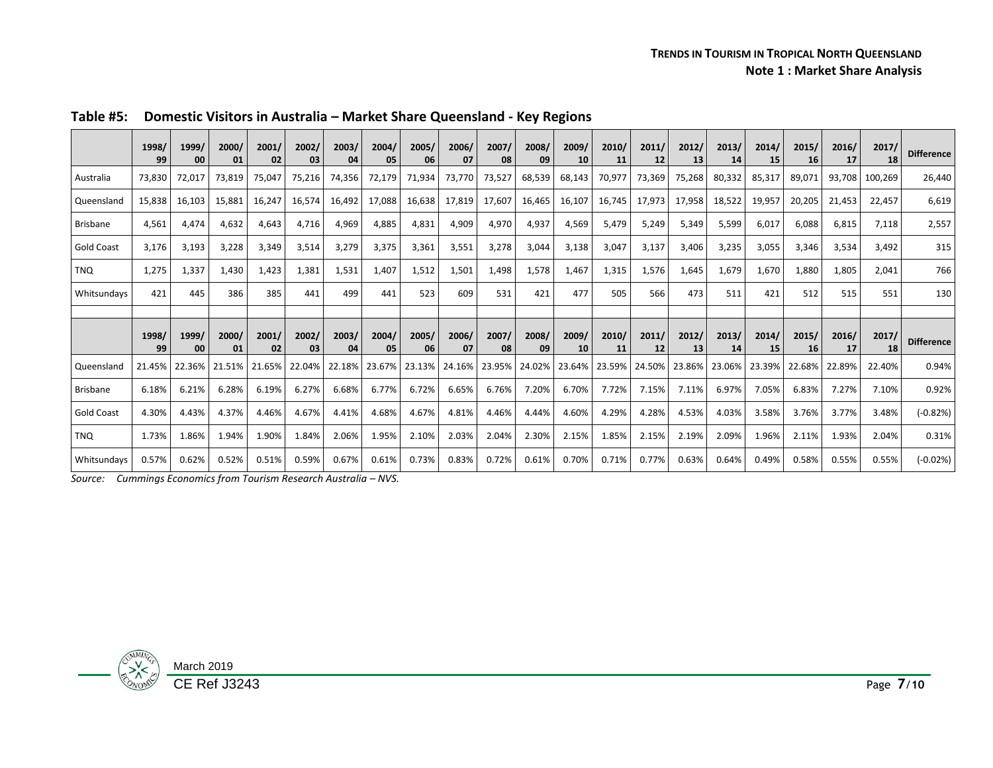|                   | 1998/<br>99 | 1999/<br>00 | 2000/<br>01 | 2001/<br>02 | 2002/<br>03 | 2003/<br>04 | 2004/<br>05 | 2005/<br>06 | 2006/<br>07 | 2007/<br>08 | 2008/<br>09 | 2009/<br>10 | 2010/<br>11 | 2011/<br>12 | 2012/<br>13 | 2013/<br>14 | 2014/<br>15 | 2015/<br>16 | 2016/<br>17 | 2017/<br>18 | <b>Difference</b> |
|-------------------|-------------|-------------|-------------|-------------|-------------|-------------|-------------|-------------|-------------|-------------|-------------|-------------|-------------|-------------|-------------|-------------|-------------|-------------|-------------|-------------|-------------------|
| Australia         | 73.830      | 72,017      | 73.819      | 75,047      | 75,216      | 74,356      | 72,179      | 71,934      | 73,770      | 73,527      | 68,539      | 68,143      | 70.977      | 73,369      | 75,268      | 80,332      | 85,317      | 89.071      | 93.708      | 100.269     | 26,440            |
| Queensland        | 15.838      | 16,103      | 15.881      | 16,247      | 16.574      | 16,492      | 17,088      | 16,638      | 17,819      | 17,607      | 16,465      | 16,107      | 16.745      | 17.973      | 17,958      | 18,522      | 19.957      | 20.205      | 21.453      | 22.457      | 6,619             |
| Brisbane          | 4.561       | 4,474       | 4,632       | 4,643       | 4,716       | 4,969       | 4,885       | 4,831       | 4,909       | 4,970       | 4,937       | 4,569       | 5.479       | 5,249       | 5,349       | 5,599       | 6.017       | 6,088       | 6,815       | 7,118       | 2,557             |
| <b>Gold Coast</b> | 3.176       | 3,193       | 3.228       | 3,349       | 3,514       | 3,279       | 3,375       | 3,361       | 3,551       | 3,278       | 3,044       | 3,138       | 3.047       | 3,137       | 3,406       | 3,235       | 3.055       | 3,346       | 3,534       | 3.492       | 315               |
| <b>TNO</b>        | 1,275       | 1,337       | 1.430       | 1,423       | 1.381       | 1,531       | 1,407       | 1,512       | 1,501       | 1,498       | 1,578       | 1.467       | 1,315       | 1,576       | 1,645       | 1.679       | 1.670       | 1.880       | 1,805       | 2,041       | 766               |
| Whitsundays       | 421         | 445         | 386         | 385         | 441         | 499         | 441         | 523         | 609         | 531         | 421         | 477         | 505         | 566         | 473         | 511         | 421         | 512         | 515         | 551         | 130               |
|                   |             |             |             |             |             |             |             |             |             |             |             |             |             |             |             |             |             |             |             |             |                   |
|                   | 1998/<br>99 | 1999/<br>00 | 2000/<br>01 | 2001/<br>02 | 2002/<br>03 | 2003/<br>04 | 2004/<br>05 | 2005/<br>06 | 2006/<br>07 | 2007/<br>08 | 2008/<br>09 | 2009/<br>10 | 2010/<br>11 | 2011/<br>12 | 2012/<br>13 | 2013/<br>14 | 2014/<br>15 | 2015/<br>16 | 2016/<br>17 | 2017/<br>18 | <b>Difference</b> |
| Queensland        | 21.45%      | 22.36%      | 21.51%      | 21.65%      | 22.04%      | 22.18%      | 23.67%      | 23.13%      | 24.16%      | 23.95%      | 24.02%      | 23.64%      | 23.59%      | 24.50%      | 23.86%      | 23.06%      | 23.39%      | 22.68%      | 22.89%      | 22.40%      | 0.94%             |
| <b>Brisbane</b>   | 6.18%       | 6.21%       | 6.28%       | 6.19%       | 6.27%       | 6.68%       | 6.77%       | 6.72%       | 6.65%       | 6.76%       | 7.20%       | 6.70%       | 7.72%       | 7.15%       | 7.11%       | 6.97%       | 7.05%       | 6.83%       | 7.27%       | 7.10%       | 0.92%             |
| <b>Gold Coast</b> | 4.30%       | 4.43%       | 4.37%       | 4.46%       | 4.67%       | 4.41%       | 4.68%       | 4.67%       | 4.81%       | 4.46%       | 4.44%       | 4.60%       | 4.29%       | 4.28%       | 4.53%       | 4.03%       | 3.58%       | 3.76%       | 3.77%       | 3.48%       | $(-0.82%)$        |
| <b>TNQ</b>        | 1.73%       | 1.86%       | 1.94%       | 1.90%       | 1.84%       | 2.06%       | 1.95%       | 2.10%       | 2.03%       | 2.04%       | 2.30%       | 2.15%       | 1.85%       | 2.15%       | 2.19%       | 2.09%       | 1.96%       | 2.11%       | 1.93%       | 2.04%       | 0.31%             |
| Whitsundays       | 0.57%       | 0.62%       | 0.52%       | 0.51%       | 0.59%       | 0.67%       | 0.61%       | 0.73%       | 0.83%       | 0.72%       | 0.61%       | 0.70%       | 0.71%       | 0.77%       | 0.63%       | 0.64%       | 0.49%       | 0.58%       | 0.55%       | 0.55%       | $(-0.02%)$        |

**Table #5: Domestic Visitors in Australia – Market Share Queensland - Key Regions** 

*Source: Cummings Economics from Tourism Research Australia – NVS.*

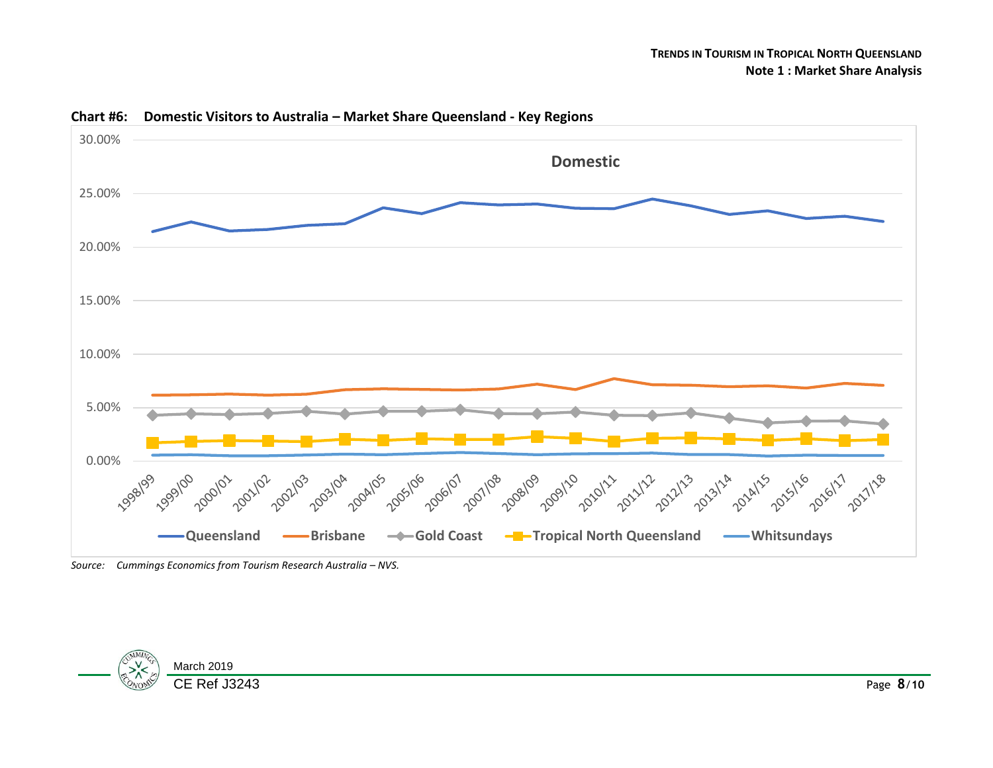

### **Chart #6: Domestic Visitors to Australia – Market Share Queensland - Key Regions**

Source: Cummings Economics from Tourism Research Australia – NVS.

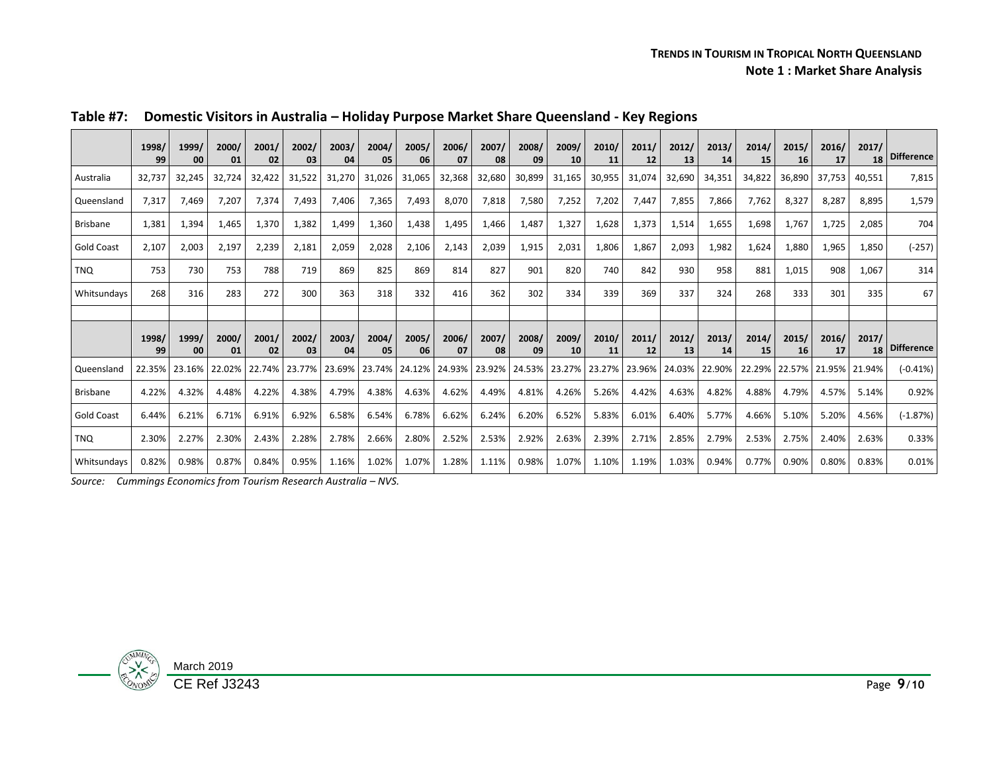#### **TRENDS IN TOURISM IN TROPICAL NORTH QUEENSLAND Note 1 : Market Share Analysis**

|                   | 1998/<br>99 | 1999/<br>00   | 2000/<br>01 | 2001/<br>02 | 2002/<br>03 | 2003/<br>04 | 2004/<br>05 | 2005/<br>06 | 2006/<br>07   | 2007/<br>08          | 2008/<br>09 | 2009/<br>10 | 2010/<br>11 | 2011/<br>12          | 2012/<br>13 | 2013/<br>14 | 2014/<br>15 | 2015/<br>16   | 2016/<br>17   | 2017/<br>18 | <b>Difference</b> |
|-------------------|-------------|---------------|-------------|-------------|-------------|-------------|-------------|-------------|---------------|----------------------|-------------|-------------|-------------|----------------------|-------------|-------------|-------------|---------------|---------------|-------------|-------------------|
| Australia         | 32.737      | 32,245        | 32.724      | 32,422      | 31,522      | 31,270      | 31,026      | 31,065      | 32,368        | 32,680               | 30,899      | 31,165      | 30,955      | 31,074               | 32,690      | 34,351      | 34,822      | 36,890        | 37.753        | 40,551      | 7,815             |
| Queensland        | 7.317       | 7,469         | 7.207       | 7,374       | 7,493       | 7,406       | 7,365       | 7.493       | 8.070         | 7,818                | 7,580       | 7,252       | 7,202       | 7,447                | 7.855       | 7,866       | 7.762       | 8,327         | 8,287         | 8.895       | 1,579             |
| <b>Brisbane</b>   | 1,381       | 1,394         | 1,465       | 1,370       | 1,382       | 1,499       | 1,360       | 1,438       | 1,495         | 1,466                | 1,487       | 1,327       | 1,628       | 1,373                | 1,514       | 1,655       | 1,698       | 1,767         | 1,725         | 2,085       | 704               |
| <b>Gold Coast</b> | 2,107       | 2,003         | 2,197       | 2,239       | 2,181       | 2,059       | 2,028       | 2,106       | 2,143         | 2,039                | 1,915       | 2,031       | 1,806       | 1,867                | 2,093       | 1,982       | 1,624       | 1,880         | 1,965         | 1,850       | $(-257)$          |
| TNO               | 753         | 730           | 753         | 788         | 719         | 869         | 825         | 869         | 814           | 827                  | 901         | 820         | 740         | 842                  | 930         | 958         | 881         | 1,015         | 908           | 1,067       | 314               |
| Whitsundays       | 268         | 316           | 283         | 272         | 300         | 363         | 318         | 332         | 416           | 362                  | 302         | 334         | 339         | 369                  | 337         | 324         | 268         | 333           | 301           | 335         | 67                |
|                   |             |               |             |             |             |             |             |             |               |                      |             |             |             |                      |             |             |             |               |               |             |                   |
|                   | 1998/<br>99 | 1999/<br>00   | 2000/<br>01 | 2001/<br>02 | 2002/<br>03 | 2003/<br>04 | 2004/<br>05 | 2005/<br>06 | 2006/<br>07   | 2007/<br>08          | 2008/<br>09 | 2009/<br>10 | 2010/<br>11 | 2011/<br>12          | 2012/<br>13 | 2013/<br>14 | 2014/<br>15 | 2015/<br>16   | 2016/<br>17   | 2017/<br>18 | <b>Difference</b> |
| Queensland        |             | 22.35% 23.16% | 22.02%      | 22.74%      | 23.77%      | 23.69%      | 23.74%      |             | 24.12% 24.93% | 23.92% 24.53% 23.27% |             |             |             | 23.27% 23.96% 24.03% |             | 22.90%      |             | 22.29% 22.57% | 21.95% 21.94% |             | $(-0.41%)$        |
| <b>Brisbane</b>   | 4.22%       | 4.32%         | 4.48%       | 4.22%       | 4.38%       | 4.79%       | 4.38%       | 4.63%       | 4.62%         | 4.49%                | 4.81%       | 4.26%       | 5.26%       | 4.42%                | 4.63%       | 4.82%       | 4.88%       | 4.79%         | 4.57%         | 5.14%       | 0.92%             |
| <b>Gold Coast</b> | 6.44%       | 6.21%         | 6.71%       | 6.91%       | 6.92%       | 6.58%       | 6.54%       | 6.78%       | 6.62%         | 6.24%                | 6.20%       | 6.52%       | 5.83%       | 6.01%                | 6.40%       | 5.77%       | 4.66%       | 5.10%         | 5.20%         | 4.56%       | $(-1.87%)$        |
| TNO               | 2.30%       | 2.27%         | 2.30%       | 2.43%       | 2.28%       | 2.78%       | 2.66%       | 2.80%       | 2.52%         | 2.53%                | 2.92%       | 2.63%       | 2.39%       | 2.71%                | 2.85%       | 2.79%       | 2.53%       | 2.75%         | 2.40%         | 2.63%       | 0.33%             |
| Whitsundays       | 0.82%       | 0.98%         | 0.87%       | 0.84%       | 0.95%       | 1.16%       | 1.02%       | 1.07%       | 1.28%         | 1.11%                | 0.98%       | 1.07%       | 1.10%       | 1.19%                | 1.03%       | 0.94%       | 0.77%       | 0.90%         | 0.80%         | 0.83%       | 0.01%             |

## **Table #7: Domestic Visitors in Australia – Holiday Purpose Market Share Queensland - Key Regions**

**Source:** Cummings Economics from Tourism Research Australia – NVS.